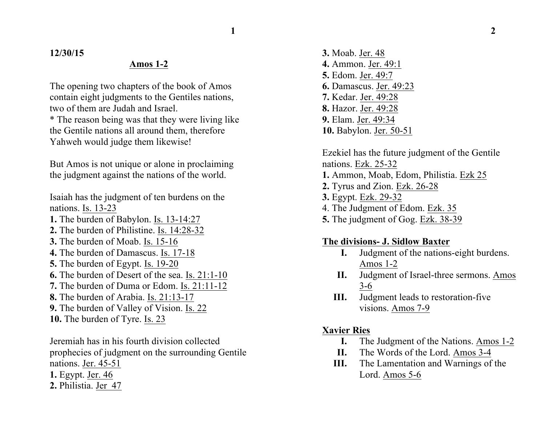**12/30/15**

## **Amos 1-2**

The opening two chapters of the book of Amos contain eight judgments to the Gentiles nations, two of them are Judah and Israel.

\* The reason being was that they were living like the Gentile nations all around them, therefore Yahweh would judge them likewise!

But Amos is not unique or alone in proclaiming the judgment against the nations of the world.

Isaiah has the judgment of ten burdens on the nations. Is. 13-23

- **1.** The burden of Babylon. Is. 13-14:27
- **2.** The burden of Philistine. Is. 14:28-32
- **3.** The burden of Moab. Is. 15-16
- **4.** The burden of Damascus. Is. 17-18
- **5.** The burden of Egypt. Is. 19-20
- **6.** The burden of Desert of the sea. Is. 21:1-10
- **7.** The burden of Duma or Edom. Is. 21:11-12
- **8.** The burden of Arabia. Is. 21:13-17
- **9.** The burden of Valley of Vision. Is. 22
- **10.** The burden of Tyre. Is. 23

Jeremiah has in his fourth division collected prophecies of judgment on the surrounding Gentile nations. Jer. 45-51

- **1.** Egypt. Jer. 46
- **2.** Philistia. Jer 47

**3.** Moab. Jer. 48 **4.** Ammon. Jer. 49:1 **5.** Edom. Jer. 49:7 **6.** Damascus. Jer. 49:23 **7.** Kedar. Jer. 49:28 **8.** Hazor. Jer. 49:28 **9.** Elam. Jer. 49:34 **10.** Babylon. Jer. 50-51

Ezekiel has the future judgment of the Gentile nations. Ezk. 25-32 **1.** Ammon, Moab, Edom, Philistia. Ezk 25 **2.** Tyrus and Zion. Ezk. 26-28 **3.** Egypt. Ezk. 29-32 4. The Judgment of Edom. Ezk. 35 **5.** The judgment of Gog. Ezk. 38-39

### **The divisions- J. Sidlow Baxter**

- **I.** Judgment of the nations-eight burdens. Amos 1-2
- **II.** Judgment of Israel-three sermons. Amos 3-6
- **III.** Judgment leads to restoration-five visions. Amos 7-9

## **Xavier Ries**

- **I.** The Judgment of the Nations. Amos 1-2
- **II.** The Words of the Lord. Amos 3-4
- **III.** The Lamentation and Warnings of the Lord. Amos 5-6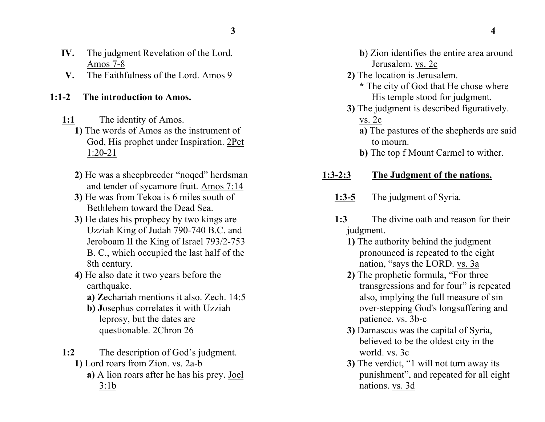- **IV.** The judgment Revelation of the Lord. Amos 7-8
- **V.** The Faithfulness of the Lord. Amos 9

#### **1:1-2 The introduction to Amos.**

- **1:1** The identity of Amos.
	- **1)** The words of Amos as the instrument of God, His prophet under Inspiration. 2Pet 1:20-21
	- **2)** He was a sheepbreeder "noqed" herdsman and tender of sycamore fruit. Amos 7:14
	- **3)** He was from Tekoa is 6 miles south of Bethlehem toward the Dead Sea.
	- **3)** He dates his prophecy by two kings are Uzziah King of Judah 790-740 B.C. and Jeroboam II the King of Israel 793/2-753 B. C., which occupied the last half of the 8th century.
	- **4)** He also date it two years before the earthquake.
		- **a) Z**echariah mentions it also. Zech. 14:5
		- **b) J**osephus correlates it with Uzziah leprosy, but the dates are questionable. 2Chron 26
- **1:2** The description of God's judgment. **1)** Lord roars from Zion. vs. 2a-b
	- **a)** A lion roars after he has his prey. Joel
		- 3:1b
- **b**) Zion identifies the entire area around Jerusalem. vs. 2c
- **2)** The location is Jerusalem. **\*** The city of God that He chose where His temple stood for judgment.
- **3)** The judgment is described figuratively. vs. 2c
	- **a)** The pastures of the shepherds are said to mourn.
	- **b)** The top f Mount Carmel to wither.
- **1:3-2:3 The Judgment of the nations.**
	- **1:3-5** The judgment of Syria.
	- **1:3** The divine oath and reason for their judgment.
		- **1)** The authority behind the judgment pronounced is repeated to the eight nation, "says the LORD. vs. 3a
		- **2)** The prophetic formula, "For three transgressions and for four" is repeated also, implying the full measure of sin over-stepping God's longsuffering and patience. vs. 3b-c
		- **3)** Damascus was the capital of Syria, believed to be the oldest city in the world. vs. 3c
		- **3)** The verdict, "1 will not turn away its punishment", and repeated for all eight nations. vs. 3d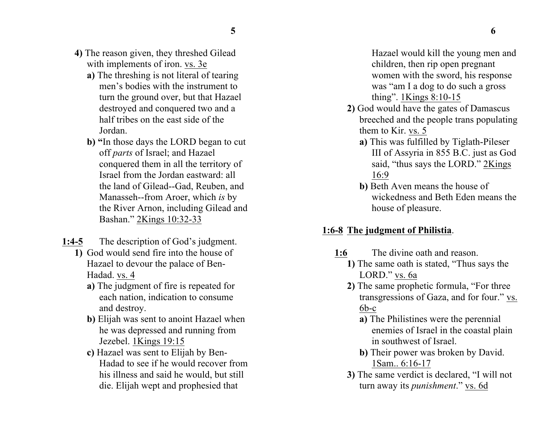- 
- **4)** The reason given, they threshed Gilead with implements of iron. vs. 3e
	- **a)** The threshing is not literal of tearing men's bodies with the instrument to turn the ground over, but that Hazael destroyed and conquered two and a half tribes on the east side of the Jordan.
	- **b) "**In those days the LORD began to cut off *parts* of Israel; and Hazael conquered them in all the territory of Israel from the Jordan eastward: all the land of Gilead--Gad, Reuben, and Manasseh--from Aroer, which *is* by the River Arnon, including Gilead and Bashan." 2Kings 10:32-33
- **1:4-5** The description of God's judgment.
	- **1)** God would send fire into the house of Hazael to devour the palace of Ben-Hadad. vs. 4
		- **a)** The judgment of fire is repeated for each nation, indication to consume and destroy.
		- **b)** Elijah was sent to anoint Hazael when he was depressed and running from Jezebel. 1Kings 19:15
		- **c)** Hazael was sent to Elijah by Ben-Hadad to see if he would recover from his illness and said he would, but still die. Elijah wept and prophesied that

Hazael would kill the young men and children, then rip open pregnant women with the sword, his response was "am I a dog to do such a gross thing". 1Kings 8:10-15

- **2)** God would have the gates of Damascus breeched and the people trans populating them to Kir. vs. 5
	- **a)** This was fulfilled by Tiglath-Pileser III of Assyria in 855 B.C. just as God said, "thus says the LORD." 2Kings 16:9
	- **b)** Beth Aven means the house of wickedness and Beth Eden means the house of pleasure.

## **1:6-8 The judgment of Philistia**.

- **1:6** The divine oath and reason.
	- **1)** The same oath is stated, "Thus says the LORD." vs. 6a
	- **2)** The same prophetic formula, "For three transgressions of Gaza, and for four." vs. 6b-c
		- **a)** The Philistines were the perennial enemies of Israel in the coastal plain in southwest of Israel.
		- **b)** Their power was broken by David. 1Sam.. 6:16-17
	- **3)** The same verdict is declared, "I will not turn away its *punishment*." vs. 6d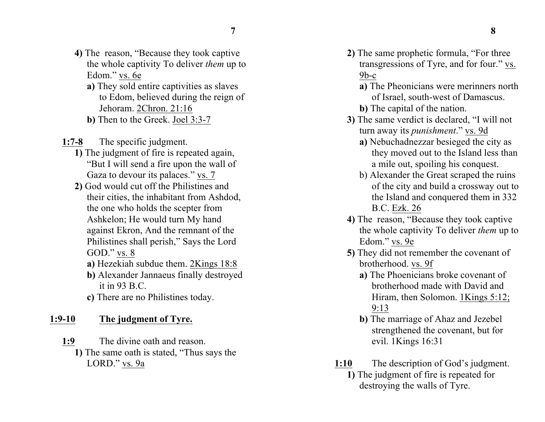- **4)** The reason, "Because they took captive the whole captivity To deliver *them* up to Edom." vs. 6e
	- **a)** They sold entire captivities as slaves to Edom, believed during the reign of Jehoram. 2Chron. 21:16
	- **b)** Then to the Greek. Joel 3:3-7
- **1:7-8** The specific judgment.
	- **1)** The judgment of fire is repeated again, "But I will send a fire upon the wall of Gaza to devour its palaces." vs. 7
	- **2)** God would cut off the Philistines and their cities, the inhabitant from Ashdod, the one who holds the scepter from Ashkelon; He would turn My hand against Ekron, And the remnant of the Philistines shall perish," Says the Lord GOD." vs. 8
		- **a)** Hezekiah subdue them. 2Kings 18:8
		- **b)** Alexander Jannaeus finally destroyed it in  $93 B C$ .
		- **c)** There are no Philistines today.

# **1:9-10 The judgment of Tyre.**

**1:9** The divine oath and reason. **1)** The same oath is stated, "Thus says the LORD." vs. 9a

- **2)** The same prophetic formula, "For three transgressions of Tyre, and for four." vs.  $9<sub>b-c</sub>$ 
	- **a)** The Pheonicians were merinners north of Israel, south-west of Damascus.
	- **b)** The capital of the nation.
- **3)** The same verdict is declared, "I will not turn away its *punishment*." vs. 9d
	- **a)** Nebuchadnezzar besieged the city as they moved out to the Island less than a mile out, spoiling his conquest.
	- b) Alexander the Great scraped the ruins of the city and build a crossway out to the Island and conquered them in 332 B.C. Ezk. 26
- **4)** The reason, "Because they took captive the whole captivity To deliver *them* up to Edom." vs. 9e
- **5)** They did not remember the covenant of brotherhood. vs. 9f
	- **a)** The Phoenicians broke covenant of brotherhood made with David and Hiram, then Solomon. 1Kings 5:12; 9:13
	- **b)** The marriage of Ahaz and Jezebel strengthened the covenant, but for evil. 1Kings 16:31
- **1:10** The description of God's judgment. **1)** The judgment of fire is repeated for destroying the walls of Tyre.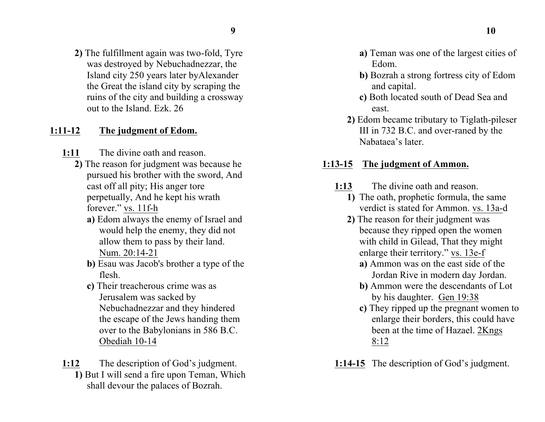**2)** The fulfillment again was two-fold, Tyre was destroyed by Nebuchadnezzar, the Island city 250 years later byAlexander the Great the island city by scraping the ruins of the city and building a crossway out to the Island. Ezk. 26

#### **1:11-12 The judgment of Edom.**

- **1:11** The divine oath and reason.
	- **2)** The reason for judgment was because he pursued his brother with the sword, And cast off all pity; His anger tore perpetually, And he kept his wrath forever." vs. 11f-h
		- **a)** Edom always the enemy of Israel and would help the enemy, they did not allow them to pass by their land. Num. 20:14-21
		- **b)** Esau was Jacob's brother a type of the flesh.
		- **c)** Their treacherous crime was as Jerusalem was sacked by Nebuchadnezzar and they hindered the escape of the Jews handing them over to the Babylonians in 586 B.C. Obediah 10-14
- **1:12** The description of God's judgment. **1)** But I will send a fire upon Teman, Which shall devour the palaces of Bozrah.
- **a)** Teman was one of the largest cities of Edom.
- **b)** Bozrah a strong fortress city of Edom and capital.
- **c)** Both located south of Dead Sea and east.
- **2)** Edom became tributary to Tiglath-pileser III in 732 B.C. and over-raned by the Nabataea's later.

#### **1:13-15 The judgment of Ammon.**

- **1:13** The divine oath and reason.
	- **1)** The oath, prophetic formula, the same verdict is stated for Ammon. vs. 13a-d
	- **2)** The reason for their judgment was because they ripped open the women with child in Gilead, That they might enlarge their territory." vs. 13e-f
		- **a)** Ammon was on the east side of the Jordan Rive in modern day Jordan.
		- **b)** Ammon were the descendants of Lot by his daughter. Gen 19:38
		- **c)** They ripped up the pregnant women to enlarge their borders, this could have been at the time of Hazael. 2Kngs 8:12
- **1:14-15** The description of God's judgment.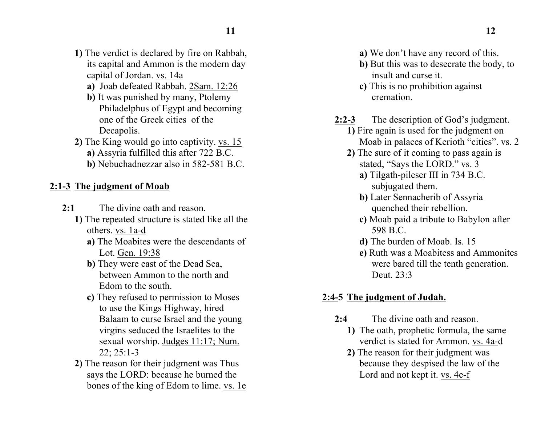- **1)** The verdict is declared by fire on Rabbah, its capital and Ammon is the modern day capital of Jordan. vs. 14a
	- **a)** Joab defeated Rabbah. 2Sam. 12:26
	- **b)** It was punished by many, Ptolemy Philadelphus of Egypt and becoming one of the Greek cities of the Decapolis.
- **2)** The King would go into captivity. vs. 15
	- **a)** Assyria fulfilled this after 722 B.C.
	- **b)** Nebuchadnezzar also in 582-581 B.C.

## **2:1-3 The judgment of Moab**

- **2:1** The divine oath and reason.
	- **1)** The repeated structure is stated like all the others. vs. 1a-d
		- **a)** The Moabites were the descendants of Lot. Gen. 19:38
		- **b)** They were east of the Dead Sea, between Ammon to the north and Edom to the south.
		- **c)** They refused to permission to Moses to use the Kings Highway, hired Balaam to curse Israel and the young virgins seduced the Israelites to the sexual worship. Judges 11:17; Num. 22; 25:1-3
	- **2)** The reason for their judgment was Thus says the LORD: because he burned the bones of the king of Edom to lime. vs. 1e
- **a)** We don't have any record of this.
- **b)** But this was to desecrate the body, to insult and curse it.
- **c)** This is no prohibition against cremation.
- **2:2-3** The description of God's judgment.
	- **1)** Fire again is used for the judgment on Moab in palaces of Kerioth "cities". vs. 2
	- **2)** The sure of it coming to pass again is stated, "Says the LORD." vs. 3
		- **a)** Tilgath-pileser III in 734 B.C. subjugated them.
		- **b)** Later Sennacherib of Assyria quenched their rebellion.
		- **c)** Moab paid a tribute to Babylon after 598 B.C.
		- **d)** The burden of Moab. Is. 15
		- **e)** Ruth was a Moabitess and Ammonites were bared till the tenth generation. Deut. 23:3

# **2:4-5 The judgment of Judah.**

- **2:4** The divine oath and reason.
	- **1)** The oath, prophetic formula, the same verdict is stated for Ammon. vs. 4a-d
	- **2)** The reason for their judgment was because they despised the law of the Lord and not kept it. vs. 4e-f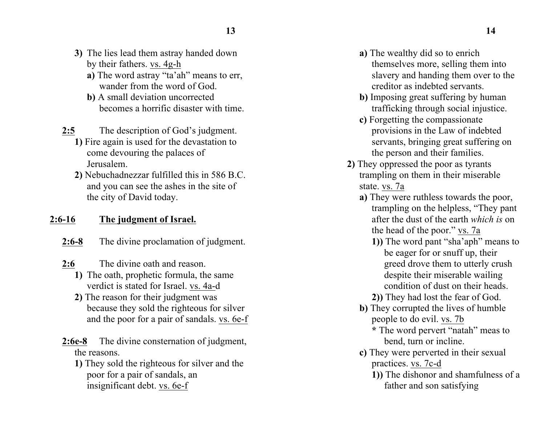- **3)** The lies lead them astray handed down by their fathers. vs. 4g-h
	- **a)** The word astray "ta'ah" means to err, wander from the word of God.
	- **b)** A small deviation uncorrected becomes a horrific disaster with time.
- **2:5** The description of God's judgment.
	- **1)** Fire again is used for the devastation to come devouring the palaces of Jerusalem.
	- **2)** Nebuchadnezzar fulfilled this in 586 B.C. and you can see the ashes in the site of the city of David today.

## **2:6-16 The judgment of Israel.**

- **2:6-8** The divine proclamation of judgment.
- **2:6** The divine oath and reason.
	- **1)** The oath, prophetic formula, the same verdict is stated for Israel. vs. 4a-d
	- **2)** The reason for their judgment was because they sold the righteous for silver and the poor for a pair of sandals. vs. 6e-f
- **2:6e-8** The divine consternation of judgment, the reasons.
	- **1)** They sold the righteous for silver and the poor for a pair of sandals, an insignificant debt. vs. 6e-f
- **a)** The wealthy did so to enrich themselves more, selling them into slavery and handing them over to the creditor as indebted servants.
- **b)** Imposing great suffering by human trafficking through social injustice.
- **c)** Forgetting the compassionate provisions in the Law of indebted servants, bringing great suffering on the person and their families.
- **2)** They oppressed the poor as tyrants trampling on them in their miserable state. vs. 7a
	- **a)** They were ruthless towards the poor, trampling on the helpless, "They pant after the dust of the earth *which is* on the head of the poor." vs. 7a
		- **1))** The word pant "sha'aph" means to be eager for or snuff up, their greed drove them to utterly crush despite their miserable wailing condition of dust on their heads.
		- **2))** They had lost the fear of God.
	- **b)** They corrupted the lives of humble people to do evil. vs. 7b
		- **\*** The word pervert "natah" meas to bend, turn or incline.
	- **c)** They were perverted in their sexual practices. vs. 7c-d
		- **1))** The dishonor and shamfulness of a father and son satisfying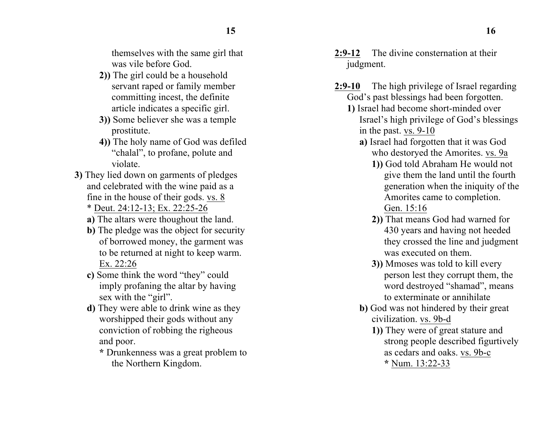themselves with the same girl that was vile before God.

- **2))** The girl could be a household servant raped or family member committing incest, the definite article indicates a specific girl.
- **3))** Some believer she was a temple prostitute.
- **4))** The holy name of God was defiled "chalal", to profane, polute and violate.
- **3)** They lied down on garments of pledges and celebrated with the wine paid as a fine in the house of their gods. vs. 8 \* Deut. 24:12-13; Ex. 22:25-26
	- **a)** The altars were thoughout the land.
	- **b**) The pledge was the object for security of borrowed money, the garment was to be returned at night to keep warm. Ex. 22:26
	- **c)** Some think the word "they" could imply profaning the altar by having sex with the "girl".
	- **d)** They were able to drink wine as they worshipped their gods without any conviction of robbing the righeous and poor.
		- **\*** Drunkenness was a great problem to the Northern Kingdom.
- **2:9-12** The divine consternation at their judgment.
- **2:9-10** The high privilege of Israel regarding God's past blessings had been forgotten.
	- **1)** Israel had become short-minded over Israel's high privilege of God's blessings in the past. vs. 9-10
		- **a)** Israel had forgotten that it was God who destoryed the Amorites. vs. 9a
			- **1))** God told Abraham He would not give them the land until the fourth generation when the iniquity of the Amorites came to completion. Gen. 15:16
			- **2))** That means God had warned for 430 years and having not heeded they crossed the line and judgment was executed on them.
			- **3))** Mmoses was told to kill every person lest they corrupt them, the word destroyed "shamad", means to exterminate or annihilate
		- **b)** God was not hindered by their great civilization. vs. 9b-d
			- **1))** They were of great stature and strong people described figurtively as cedars and oaks. vs. 9b-c **\*** Num. 13:22-33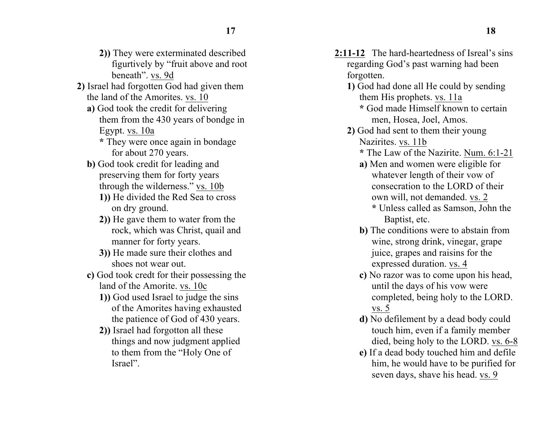- **2))** They were exterminated described figurtively by "fruit above and root beneath". vs. 9d
- **2)** Israel had forgotten God had given them the land of the Amorites. vs. 10
	- **a)** God took the credit for delivering them from the 430 years of bondge in Egypt. vs. 10a
		- **\*** They were once again in bondage for about 270 years.
	- **b**) God took credit for leading and preserving them for forty years through the wilderness." vs. 10b
		- **1))** He divided the Red Sea to cross on dry ground.
		- **2))** He gave them to water from the rock, which was Christ, quail and manner for forty years.
		- **3))** He made sure their clothes and shoes not wear out.
	- **c)** God took credt for their possessing the land of the Amorite. vs. 10c
		- **1))** God used Israel to judge the sins of the Amorites having exhausted the patience of God of 430 years.
		- **2))** Israel had forgotton all these things and now judgment applied to them from the "Holy One of Israel".
- **2:11-12** The hard-heartedness of Isreal's sins regarding God's past warning had been forgotten.
	- **1)** God had done all He could by sending them His prophets. vs. 11a
		- **\*** God made Himself known to certain men, Hosea, Joel, Amos.
	- **2)** God had sent to them their young Nazirites. vs. 11b
		- **\*** The Law of the Nazirite. Num. 6:1-21
		- **a)** Men and women were eligible for whatever length of their vow of consecration to the LORD of their own will, not demanded. vs. 2 **\*** Unless called as Samson, John the
			- Baptist, etc.
		- **b)** The conditions were to abstain from wine, strong drink, vinegar, grape juice, grapes and raisins for the expressed duration. vs. 4
		- **c)** No razor was to come upon his head, until the days of his vow were completed, being holy to the LORD. vs. 5
		- **d)** No defilement by a dead body could touch him, even if a family member died, being holy to the LORD. vs. 6-8
		- **e)** If a dead body touched him and defile him, he would have to be purified for seven days, shave his head. vs. 9